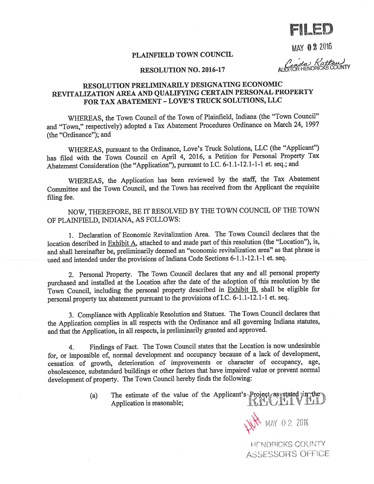FLED

**MAY 02 2016** 

## PLAINFIELD TOWN COUNCIL

n da Kattau)

## RESOLUTION NO. 2016-17

# RESOLUTION PRELIMINARILY DESIGNATING ECONOMIC REVITALIZATION AREA AND QUALIFYING CERTAIN PERSONAL PROPERTY FOR TAX ABATEMENT -LOVE'S TRUCK SOLUTIONS, LLC

WHEREAS, the Town Council of the Town of Plainfield, Indiana (the "Town Council" and "Town," respectively) adopted <sup>a</sup> Tax Abatement Procedures Ordinance on March 24, <sup>1997</sup> (the "Ordinance"); and

WHEREAS, pursuan<sup>t</sup> to the Ordinance, Love's Truck Solutions, LLC (the "Applicant") has filed with the Town Council on April 4, 2016, <sup>a</sup> Petition for Personal Property Tax Abatement Consideration (the "Application"), pursuan<sup>t</sup> to I.C. 6-1.1-12.1-1-1 et. seq.; and

WHEREAS, the Application has been reviewed by the staff, the Tax Abatement Committee and the Town Council, and the Town has received from the Applicant the requisite filing fee.

NOW, THEREFORE, BE IT RESOLVED BY THE TOWN COUNCIL OF THE TOWN OF PLA1NFIELD, INDIANA, AS FOLLOWS:

1. Declaration of Economic Revitalization Area. The Town Council declares that the location described in Exhibit A, attached to and made par<sup>t</sup> of this resolution (the "Location"), is, and shall hereinafter be, preliminarily deemed an "economic revitalization area" as that <sup>p</sup>hrase is used and intended under the provisions of Indiana Code Sections 6-1.1-12.1-1 et. seq.

2. Personal Property. The Town Council declares that any and all persona<sup>l</sup> property purchased and installed at the Location after the date of the adoption of this resolution by the Town Council, including the personal property described in Exhibit B, shall be eligible for persona<sup>l</sup> property tax abatement pursuan<sup>t</sup> to the provisions ofI.C. 6-1.1-12.1-1 et. seq.

3. Compliance with Applicable Resolution and Statues. The Town Council declares that the Application complies in all respects with the Ordinance and all governing Indiana statutes, and that the Application, in all respects, is preliminarily granted and approved.

4. Findings of Fact. The Town Council states that the Location is now undesirable for, or impossible of, normal development and occupancy because of <sup>a</sup> lack of development, cessation of growth, deterioration of improvements or character of occupancy, age, obsolescence, substandard buildings or other factors that have impaired value or preven<sup>t</sup> normal development of property. The Town Council hereby finds the following:

> a) The estimate of the value of the Applicant's Project as stated in the Application is reasonable; interesting the latter of the latter of the latter of the latter of the latter of the latter of the latter of the latter of the latter of the latter of the latter of the latter of the latter of t

> > WH MAY 02 2016

HENDRICKS COUNTY ASSESSOR'S OFFICE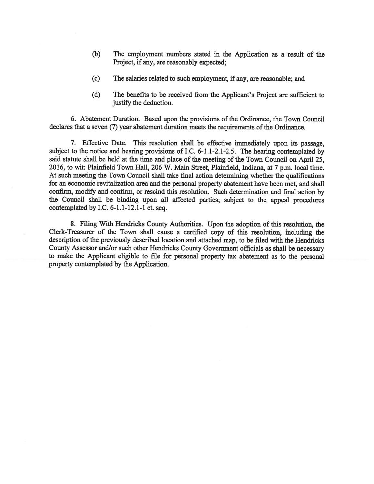- (b) The employment numbers stated in the Application as <sup>a</sup> result of the Project, if any, are reasonably expected;
- (c) The salaries related to such employment, if any, are reasonable; and
- (d) The benefits to be received from the Applicant's Project are sufficient to justify the deduction.

6. Abatement Duration. Based upon the provisions of the Ordinance, the Town Council declares that a seven (7) year abatement duration meets the requirements of the Ordinance.

7. Effective Date. This resolution shall be effective immediately upon its passage, subject to the notice and hearing provisions of I.C. 6-1.1-2.1-2.5. The hearing contemplated by said statute shall be held at the time and <sup>p</sup>lace of the meeting of the Town Council on April 25, 2016, to wit: Plainfield Town Hall, 206 W. Main Street, Plainfield, Indiana, at 7 p.m. local time. At such meeting the Town Council shall take final action determining whether the qualifications for an economic revitalization area and the personal property abatement have been met, and shall confirm, modify and confinn, or rescind this resolution. Such determination and fmal action by the Council shall be binding upon all affected parties; subject to the appea<sup>l</sup> procedures contemplated by I.C. 6-1.1-12.1-1 et. seq.

8. Filing With Hendricks County Authorities. Upon the adoption of this resolution, the Clerk-Treasurer of the Town shall cause <sup>a</sup> certified copy of this resolution, including the description of the previously described location and attached map, to be filed with the Hendricks County Assessor and/or such other Hendricks County Government officials as shall be necessary to make the Applicant eligible to file for persona<sup>l</sup> property tax abatement as to the persona<sup>l</sup> property contemplated by the Application.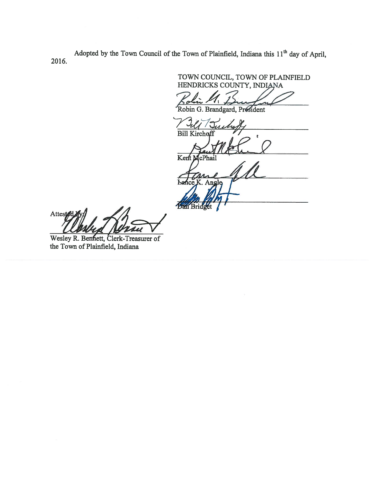Adopted by the Town Council of the Town of Plainfield, Indiana this  $11<sup>th</sup>$  day of April, 2016.

TOWN COUNCIL, TOWN OF PLA1NFIELD IENDRICKS COUNTY, INDIANA

Robin G. Brandgard, President

Tuchet **Bill** 

Kent M .<br>cPhail

Ьæ .. Angle **Ban Bri** 

Attested

Wesley R. Bennett, Clerk-Treasurer of the Town of Plainfield, Indiana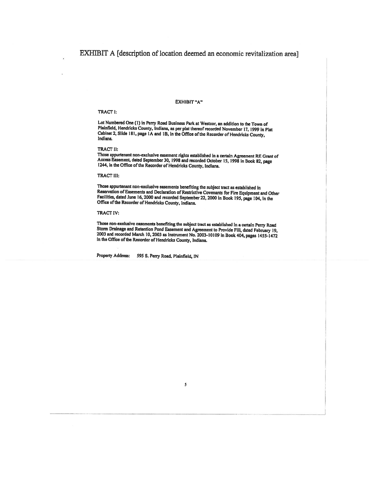# EXHIBIT A [description of location deemed an economic revitalization area]

### EXHIBIT "A"

### TRACT I:

Lot Numbered One (1) in Perry Road Business Park at Westcor, an addition to the Town of Cabinet 2, Slide 181, page 1A and 1B, in the Office of the Recorder of Hendricks County, Indiana.

TRACT II:<br>Those appurtenant non-exclusive easement rights established in a certain Agreement RE Grant of Access Easement, dated September 30, 1998 and recorded October 15, 1998 in Book 82, page 1244, in the Office of the Recorder of Hendricks County, Indiana.

TRACT III:

Those appurtenant non-exclusive easements benefiting the subject tract as established in<br>Reservation of Easements and Declaration of Restrictive Covenants for Fire Equipment and Other<br>Facilities, dated June 16, 2000 and re

### TRACT IV:

Those non-exclusive casements benefiting the subject tract as established in a certain Perry Road Storm Drainage and Retention Pond Easement and Agreement to Provide Fill, dated February 19, 2003 and recorded March 10, 200

S

Property Address: 595 S. Perry Road. Plainfield, IN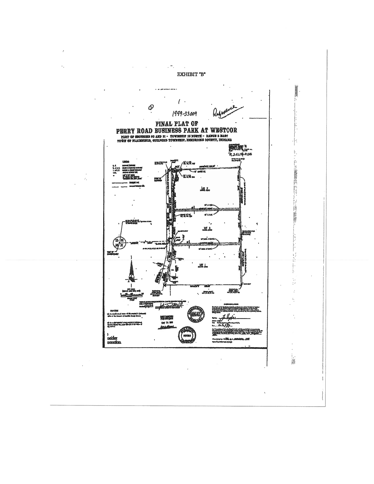